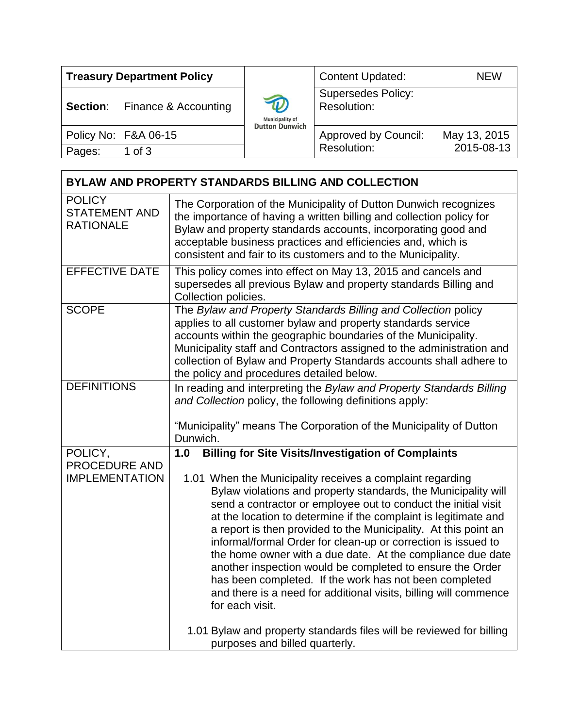| <b>Treasury Department Policy</b> |                      |                                                                               | <b>Content Updated:</b>                  | <b>NEW</b>   |
|-----------------------------------|----------------------|-------------------------------------------------------------------------------|------------------------------------------|--------------|
| Section:                          | Finance & Accounting | $\boldsymbol{\widehat{w}}$<br><b>Municipality of</b><br><b>Dutton Dunwich</b> | <b>Supersedes Policy:</b><br>Resolution: |              |
|                                   | Policy No: F&A 06-15 |                                                                               | <b>Approved by Council:</b>              | May 13, 2015 |
| Pages:                            | 1 of $3$             |                                                                               | Resolution:                              | 2015-08-13   |

| BYLAW AND PROPERTY STANDARDS BILLING AND COLLECTION       |                                                                                                                                                                                                                                                                                                                                                                                                                                                                                                                                                                                                                                                                                  |  |  |  |
|-----------------------------------------------------------|----------------------------------------------------------------------------------------------------------------------------------------------------------------------------------------------------------------------------------------------------------------------------------------------------------------------------------------------------------------------------------------------------------------------------------------------------------------------------------------------------------------------------------------------------------------------------------------------------------------------------------------------------------------------------------|--|--|--|
| <b>POLICY</b><br><b>STATEMENT AND</b><br><b>RATIONALE</b> | The Corporation of the Municipality of Dutton Dunwich recognizes<br>the importance of having a written billing and collection policy for<br>Bylaw and property standards accounts, incorporating good and<br>acceptable business practices and efficiencies and, which is<br>consistent and fair to its customers and to the Municipality.                                                                                                                                                                                                                                                                                                                                       |  |  |  |
| <b>EFFECTIVE DATE</b>                                     | This policy comes into effect on May 13, 2015 and cancels and<br>supersedes all previous Bylaw and property standards Billing and<br>Collection policies.                                                                                                                                                                                                                                                                                                                                                                                                                                                                                                                        |  |  |  |
| <b>SCOPE</b>                                              | The Bylaw and Property Standards Billing and Collection policy<br>applies to all customer bylaw and property standards service<br>accounts within the geographic boundaries of the Municipality.<br>Municipality staff and Contractors assigned to the administration and<br>collection of Bylaw and Property Standards accounts shall adhere to<br>the policy and procedures detailed below.                                                                                                                                                                                                                                                                                    |  |  |  |
| <b>DEFINITIONS</b>                                        | In reading and interpreting the Bylaw and Property Standards Billing<br>and Collection policy, the following definitions apply:<br>"Municipality" means The Corporation of the Municipality of Dutton<br>Dunwich.                                                                                                                                                                                                                                                                                                                                                                                                                                                                |  |  |  |
| POLICY,                                                   | <b>Billing for Site Visits/Investigation of Complaints</b><br>1.0                                                                                                                                                                                                                                                                                                                                                                                                                                                                                                                                                                                                                |  |  |  |
| PROCEDURE AND<br><b>IMPLEMENTATION</b>                    | 1.01 When the Municipality receives a complaint regarding<br>Bylaw violations and property standards, the Municipality will<br>send a contractor or employee out to conduct the initial visit<br>at the location to determine if the complaint is legitimate and<br>a report is then provided to the Municipality. At this point an<br>informal/formal Order for clean-up or correction is issued to<br>the home owner with a due date. At the compliance due date<br>another inspection would be completed to ensure the Order<br>has been completed. If the work has not been completed<br>and there is a need for additional visits, billing will commence<br>for each visit. |  |  |  |
|                                                           | 1.01 Bylaw and property standards files will be reviewed for billing<br>purposes and billed quarterly.                                                                                                                                                                                                                                                                                                                                                                                                                                                                                                                                                                           |  |  |  |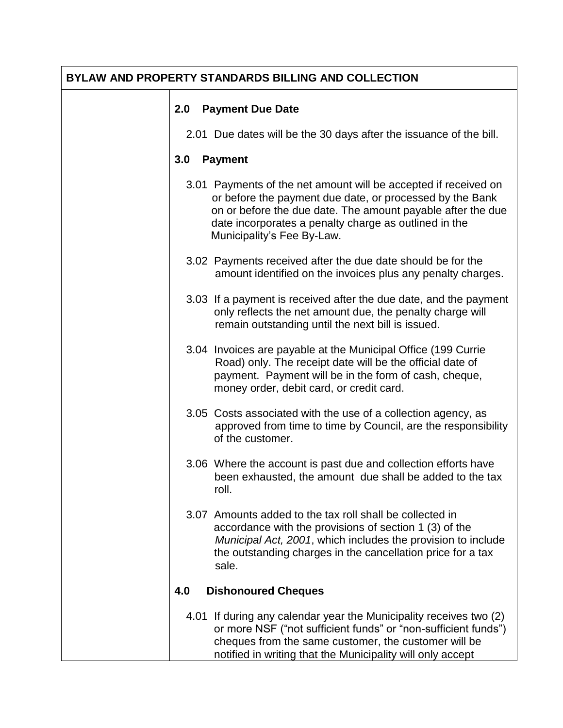| <b>BYLAW AND PROPERTY STANDARDS BILLING AND COLLECTION</b> |                                   |                                                                                                                                                                                                                                                                                   |  |  |
|------------------------------------------------------------|-----------------------------------|-----------------------------------------------------------------------------------------------------------------------------------------------------------------------------------------------------------------------------------------------------------------------------------|--|--|
|                                                            | 2.0                               | <b>Payment Due Date</b>                                                                                                                                                                                                                                                           |  |  |
|                                                            |                                   | 2.01 Due dates will be the 30 days after the issuance of the bill.                                                                                                                                                                                                                |  |  |
|                                                            | 3.0                               | <b>Payment</b>                                                                                                                                                                                                                                                                    |  |  |
|                                                            |                                   | 3.01 Payments of the net amount will be accepted if received on<br>or before the payment due date, or processed by the Bank<br>on or before the due date. The amount payable after the due<br>date incorporates a penalty charge as outlined in the<br>Municipality's Fee By-Law. |  |  |
|                                                            |                                   | 3.02 Payments received after the due date should be for the<br>amount identified on the invoices plus any penalty charges.                                                                                                                                                        |  |  |
|                                                            |                                   | 3.03 If a payment is received after the due date, and the payment<br>only reflects the net amount due, the penalty charge will<br>remain outstanding until the next bill is issued.                                                                                               |  |  |
|                                                            |                                   | 3.04 Invoices are payable at the Municipal Office (199 Currie<br>Road) only. The receipt date will be the official date of<br>payment. Payment will be in the form of cash, cheque,<br>money order, debit card, or credit card.                                                   |  |  |
|                                                            |                                   | 3.05 Costs associated with the use of a collection agency, as<br>approved from time to time by Council, are the responsibility<br>of the customer.                                                                                                                                |  |  |
|                                                            |                                   | 3.06 Where the account is past due and collection efforts have<br>been exhausted, the amount due shall be added to the tax<br>roll.                                                                                                                                               |  |  |
|                                                            |                                   | 3.07 Amounts added to the tax roll shall be collected in<br>accordance with the provisions of section 1 (3) of the<br>Municipal Act, 2001, which includes the provision to include<br>the outstanding charges in the cancellation price for a tax<br>sale.                        |  |  |
|                                                            | 4.0<br><b>Dishonoured Cheques</b> |                                                                                                                                                                                                                                                                                   |  |  |
|                                                            |                                   | 4.01 If during any calendar year the Municipality receives two (2)<br>or more NSF ("not sufficient funds" or "non-sufficient funds")<br>cheques from the same customer, the customer will be<br>notified in writing that the Municipality will only accept                        |  |  |